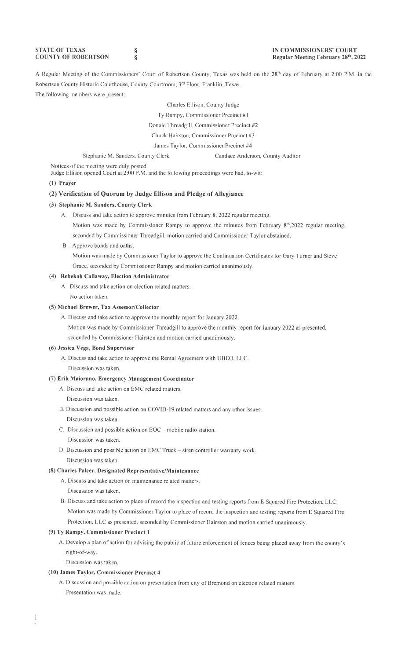**STATE OF TEXAS COUNTY OF ROBERTSON**  § §

A Regular Meeting of the Commissioners' Court of Robertson County, Texas was held on the 28th day of February at 2:00 P.M. in the Robertson County Historic Courthouse, County Courtroom, 3rd Floor, Franklin, Texas. The following members were present:

#### Charles Ellison, County Judge

Ty Rampy, Commissioner Precinct #1

Donald Threadgill, Commissioner Precinct #2

Chuck Hairston, Commissioner Precinct #3

James Taylor, Commissioner Precinct #4

Stephanie M. Sanders, County Clerk Candace Anderson, County Auditor

Notices of the meeting were duly posted.

Judge Ellison opened Court at 2:00 **P.M.** and the following proceedings were had, to-wit:

## **(1) Prayer**

## **(2) Verification of Quorum by Judge Ellison and Pledge of Allegiance**

#### **(3) Stephanie M. Sanders, County Clerk**

- A. Discuss and take action to approve minutes from February 8, 2022 regular meeting. Motion was made by Commissioner Rampy to approve the minutes from February 8<sup>th</sup>,2022 regular meeting,
- seconded by Commissioner Threadgill, motion carried and Commissioner Taylor abstained. B. Approve bonds and oaths.

Motion was made by Commissioner Taylor to approve the Continuation Certificates for Gary Turner and Steve Grace, seconded by Commissioner Rampy and motion carried unanimously.

## **(4) Rebekah Callaway, Election Administrator**

A. Discuss and take action on election related matters. No action taken.

#### **(5) Michael Brewer, Tax Assessor/Collector**

A. Discuss and take action to approve the monthly report for January 2022.

Motion was made by Commissioner Threadgill to approve the monthly report for January 2022 as presented,

seconded by Commissioner Hairston and motion carried unanimously.

## **(6) Jessica Vega, Bond Supervisor**

- **A.** Discuss and take action to approve the Rental Agreement with UBEO, LLC.
- Discussion was taken.

## **(7) Erik Maiorano, Emergency Management Coordinator**

A. Discuss and take action on EMC related matters.

#### Discussion was taken.

- B. Discussion and possible action on COVID-19 related matters and any other issues. Discussion was taken.
- C. Discussion and possible action on EOC mobile radio station.
	- Discussion was taken.
- D. Discussion and possible action on EMC Truck siren controller warranty work. Discussion was taken.

#### **(8) Charles Palcer, Designated Representative/Maintenance**

- A. Discuss and take action on maintenance related matters.
- Discussion was taken.
- B. Discuss and take action to place of record the inspection and testing reports from E Squared Fire Protection, LLC. Motion was made by Commissioner Taylor to place of record the inspection and testing reports from E Squared Fire Protection, LLC as presented, seconded by Commissioner Hairston and motion carried unanimously.

#### **(9) Ty Rampy, Commissioner Precinct 1**

A. Develop a plan of action for advising the public of future enforcement of fences being placed away from the county's right-of-way.

Discussion was taken.

#### **(10) James Taylor, Commissioner Precinct 4**

A. Discussion and possible action on presentation from city of Bremond on election related matters. Presentation was made.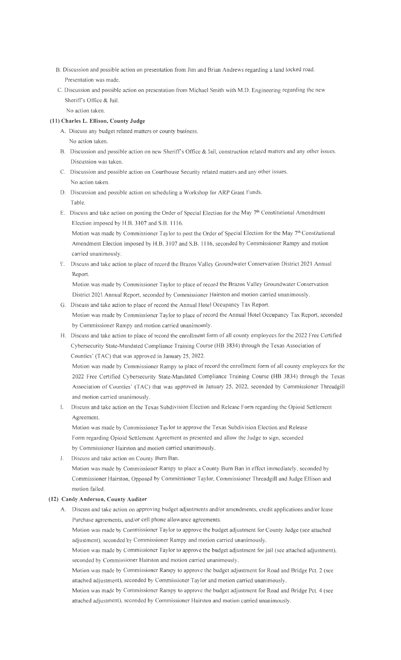- B. Discussion and possible action on presentation from Jim and Brian Andrews regarding a land locked road. Presentation was made.
- C. Discussion and possible action on presentation from Michael Smith with M.D. Engineering regarding the new Sheriff's Office & Jail.

No action taken.

## **(11) Charles L. Ellison, County Judge**

- A. Discuss any budget related matters or county business. No action taken.
- B. Discussion and possible action on new Sheriff's Office & Jail, construction related matters and any other issues. Discussion was taken.
- C. Discussion and possible action on Courthouse Security related matters and any other issues. No action taken.
- D. Discussion and possible action on scheduling a Workshop for ARP Grant Funds. Table.
- E. Discuss and take action on posting the Order of Special Election for the May 7th Constitutional Amendment Election imposed by H.B. 3107 and S.B. 1116.

Motion was made by Commissioner Taylor to post the Order of Special Election for the May  $7<sup>th</sup>$  Constitutional Amendment Election imposed by H.B. 3107 and S.B. 1116, seconded by Commissioner Rampy and motion carried unanimously.

F. Discuss and take action to place of record the Brazos Valley Groundwater Conservation District 2021 Annual Report.

Motion was made by Commissioner Taylor to place of record the Brazos Valley Groundwater Conservation District 2021 Annual Report, seconded by Commissioner Hairston and motion carried unanimously.

- G. Discuss and take action to place of record the Annual Hotel Occupancy Tax Report. Motion was made by Commissioner Taylor to place of record the Annual Hotel Occupancy Tax Report, seconded by Commissioner Rampy and motion carried unanimously.
- H. Discuss and take action to place of record the enrollment form of all county employees for the 2022 Free Certified Cybersecurity State-Mandated Compliance Training Course (HB 3834) through the Texas Association of Counties' (TAC) that was approved in January 25, 2022.

Motion was made by Commissioner Rampy to place of record the enrollment form of all county employees for the 2022 Free Certified Cybersecurity State-Mandated Compliance Training Course (HB 3834) through the Texas Association of Counties' (TAC) that was approved in January 25, 2022, seconded by Commissioner Threadgill and motion carried unanimously.

I. Discuss and take action on the Texas Subdivision Election and Release Form regarding the Opioid Settlement Agreement.

Motion was made by Commissioner Taylor to approve the Texas Subdivision Election and Release Form regarding Opioid Settlement Agreement as presented and allow the Judge to sign, seconded by Commissioner Hairston and motion carried unanimously.

J. Discuss and take action on County Bum Ban.

Motion was made by Commissioner Rampy to place a County Bum Ban in effect immediately, seconded by Commissioner Hairston, Opposed by Commissioner Taylor, Commissioner Threadgill and Judge Ellison and motion failed.

### **(12) Candy Anderson, County Auditor**

A. Discuss and take action on approving budget adjustments and/or amendments, credit applications and/or lease Purchase agreements, and/or cell phone allowance agreements.

Motion was made by Commissioner Taylor to approve the budget adjustment for County Judge (see attached adjustment), seconded by Commissioner Rampy and motion carried unanimously.

Motion was made by Commissioner Taylor to approve the budget adjustment for jail (see attached adjustment), seconded by Commissioner Hairston and motion carried unanimously.

Motion was made by Commissioner Rampy to approve the budget adjustment for Road and Bridge Pct. 2 (see attached adjustment), seconded by Commissioner Taylor and motion carried unanimously.

Motion was made by Commissioner Rampy to approve the budget adjustment for Road and Bridge Pct. 4 (see attached adjustment), seconded by Commissioner Hairston and motion carried unanimously.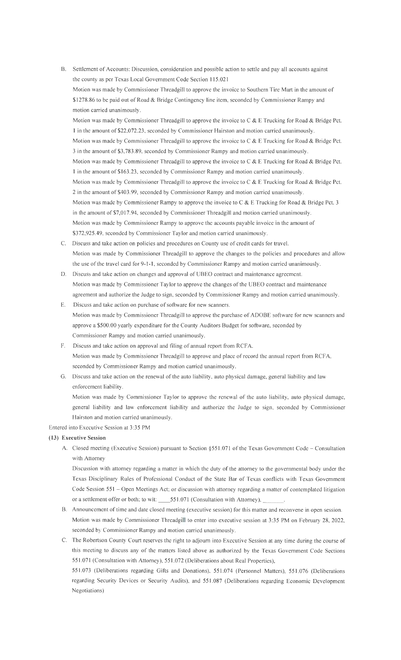- 8. Settlement of Accounts: Discussion, consideration and possible action to settle and pay all accounts against the county as per Texas Local Government Code Section 115.021 Motion was made by Commissioner Threadgill to approve the invoice to Southern Tire Mart in the amount of \$1278.86 to be paid out of Road & Bridge Contingency line item, seconded by Commissioner Rampy and motion carried unanimously. Motion was made by Commissioner Threadgill to approve the invoice to C & E Trucking for Road & Bridge Pct. I in the amount of \$22,072.23, seconded by Commissioner Hairston and motion carried unanimously. Motion was made by Commissioner Threadgill to approve the invoice to C & E Trucking for Road & Bridge Pct. 3 in the amount of\$3,783.89, seconded by Commissioner Rampy and motion carried unanimously. Motion was made by Commissioner Threadgill to approve the invoice to C & E Trucking for Road & Bridge Pct. 1 in the amount of \$163.23, seconded by Commissioner Rampy and motion carried unanimously. Motion was made by Commissioner Threadgill to approve the invoice to C & E Trucking for Road & Bridge Pct. 2 in the amount of\$403.99, seconded by Commissioner Rampy and motion carried unanimously. Motion was made by Commissioner Rampy to approve the invoice to C & E Trucking for Road & Bridge Pct. 3 in the amount of \$7,017.94, seconded by Commissioner Threadgill and motion carried unanimously. Motion was made by Commissioner Rampy to approve the accounts payable invoice in the amount of \$372,925.49, seconded by Commissioner Taylor and motion carried unanimously.
- C. Discuss and take action on policies and procedures on County use of credit cards for travel. Motion was made by Commissioner Threadgill to approve the changes to the policies and procedures and allow the use of the travel card for 9-1-1 , seconded by Commissioner Rampy and motion carried unanimously.
- D. Discuss and take action on changes and approval of UBEO contract and maintenance agreement. Motion was made by Commissioner Taylor to approve the changes of the UBEO contract and maintenance agreement and authorize the Judge to sign, seconded by Commissioner Rampy and motion carried unanimously.
- E. Discuss and take action on purchase of software for new scanners. Motion was made by Commissioner Threadgill to approve the purchase of ADOBE software for new scanners and approve a \$500.00 yearly expenditure for the County Auditors Budget for software, seconded by Commissioner Rampy and motion carried unanimously.
- F. Discuss and take action on approval and filing of annual report from RCFA. Motion was made by Commissioner Threadgill to approve and place of record the annual report from RCF A, seconded by Commissioner Rampy and motion carried unanimously.
- G. Discuss and take action on the renewal of the auto liability, auto physical damage, general liability and law enforcement liability.

Motion was made by Commissioner Taylor to approve the renewal of the auto liability, auto physical damage, general liability and law enforcement liability and authorize the Judge to sign, seconded by Commissioner Hairston and motion carried unanimously.

### Entered into Executive Session at 3:35 **PM**

#### **(13) Executive Session**

A. Closed meeting (Executive Session) pursuant to Section §551.071 of the Texas Government Code - Consultation with Attorney

Discussion with attorney regarding a matter in which the duty of the attorney to the governmental body under the Texas Disciplinary Rules of Professional Conduct of the State Bar of Texas conflicts with Texas Government Code Session 551 - Open Meetings Act; or discussion with attorney regarding a matter of contemplated litigation or a settlement offer or both; to wit: \_\_\_\_\_551.071 (Consultation with Attorney),

- 8. Announcement of time and date closed meeting ( executive session) for this matter and reconvene in open session. Motion was made by Commissioner Threadgill to enter into executive session at 3:35 PM on February 28, 2022, seconded by Commissioner Rampy and motion carried unanimously.
- C. The Robertson County Court reserves the right to adjourn into Executive Session at any time during the course of this meeting to discuss any of the matters listed above as authorized by the Texas Government Code Sections 551 .071 (Consultation with Attorney), 551.072 (Deliberations about Real Properties),

551.073 (Deliberations regarding Gifts and Donations), 551.074 (Personnel Matters), 551.076 (Deliberations regarding Security Devices or Security Audits), and 551.087 (Deliberations regarding Economic Development Negotiations)